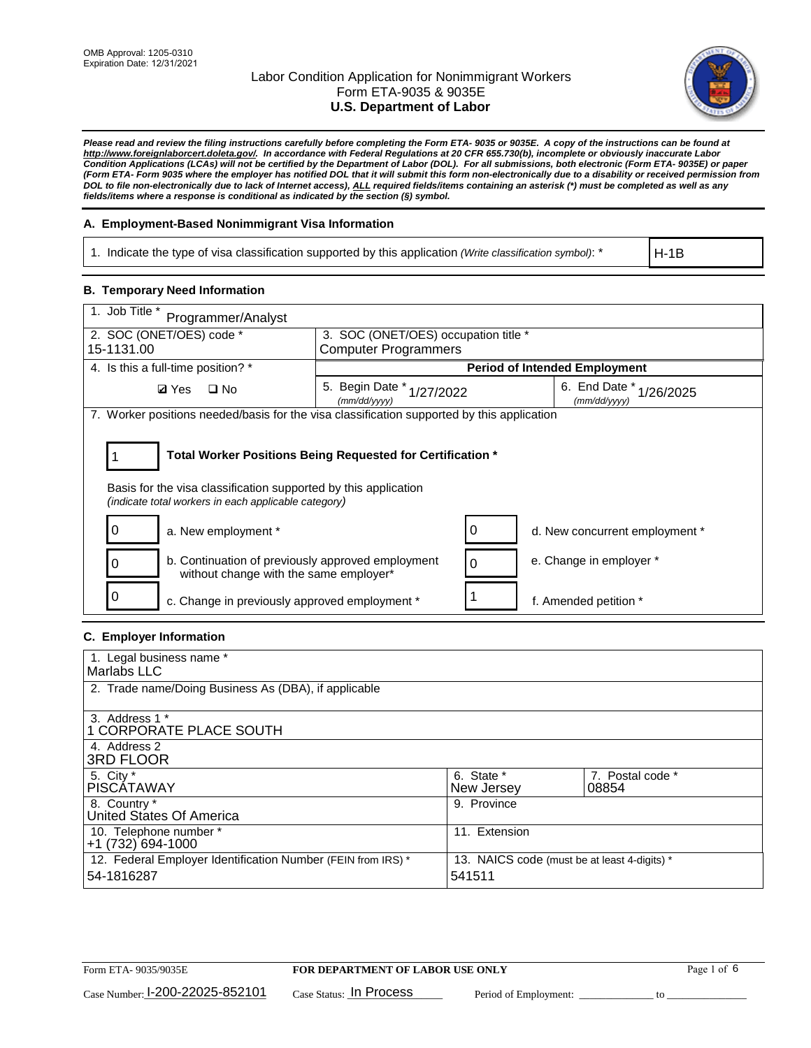

*Please read and review the filing instructions carefully before completing the Form ETA- 9035 or 9035E. A copy of the instructions can be found at http://www.foreignlaborcert.doleta.gov/. In accordance with Federal Regulations at 20 CFR 655.730(b), incomplete or obviously inaccurate Labor Condition Applications (LCAs) will not be certified by the Department of Labor (DOL). For all submissions, both electronic (Form ETA- 9035E) or paper (Form ETA- Form 9035 where the employer has notified DOL that it will submit this form non-electronically due to a disability or received permission from DOL to file non-electronically due to lack of Internet access), ALL required fields/items containing an asterisk (\*) must be completed as well as any fields/items where a response is conditional as indicated by the section (§) symbol.* 

## **A. Employment-Based Nonimmigrant Visa Information**

1. Indicate the type of visa classification supported by this application *(Write classification symbol)*: \*

H-1B

#### **B. Temporary Need Information**

| 1. Job Title *<br>Programmer/Analyst                                                                                                                                                  |                                           |   |                                            |  |  |
|---------------------------------------------------------------------------------------------------------------------------------------------------------------------------------------|-------------------------------------------|---|--------------------------------------------|--|--|
| 2. SOC (ONET/OES) code *<br>3. SOC (ONET/OES) occupation title *                                                                                                                      |                                           |   |                                            |  |  |
| 15-1131.00                                                                                                                                                                            | <b>Computer Programmers</b>               |   |                                            |  |  |
| 4. Is this a full-time position? *                                                                                                                                                    |                                           |   | <b>Period of Intended Employment</b>       |  |  |
| $\square$ No<br><b>Ø</b> Yes                                                                                                                                                          | 5. Begin Date * 1/27/2022<br>(mm/dd/yyyy) |   | 6. End Date *<br>1/26/2025<br>(mm/dd/yyyy) |  |  |
| 7. Worker positions needed/basis for the visa classification supported by this application                                                                                            |                                           |   |                                            |  |  |
| Total Worker Positions Being Requested for Certification *<br>Basis for the visa classification supported by this application<br>(indicate total workers in each applicable category) |                                           |   |                                            |  |  |
| a. New employment *                                                                                                                                                                   |                                           |   | d. New concurrent employment *             |  |  |
| b. Continuation of previously approved employment<br>without change with the same employer*                                                                                           |                                           | 0 | e. Change in employer *                    |  |  |
| 0<br>c. Change in previously approved employment *                                                                                                                                    |                                           |   | f. Amended petition *                      |  |  |

## **C. Employer Information**

| 1. Legal business name *                                                   |                                                        |                           |
|----------------------------------------------------------------------------|--------------------------------------------------------|---------------------------|
| Marlabs LLC                                                                |                                                        |                           |
| 2. Trade name/Doing Business As (DBA), if applicable                       |                                                        |                           |
| 3. Address 1 *<br>1 CORPORATE PLACE SOUTH<br>4. Address 2                  |                                                        |                           |
| <b>3RD FLOOR</b>                                                           |                                                        |                           |
| 5. City *<br><b>PISCÁTAWAY</b>                                             | 6. State *<br>New Jersey                               | 7. Postal code *<br>08854 |
| 8. Country *<br>United States Of America                                   | 9. Province                                            |                           |
| 10. Telephone number *<br>$+1(732)694-1000$                                | 11. Extension                                          |                           |
| 12. Federal Employer Identification Number (FEIN from IRS) *<br>54-1816287 | 13. NAICS code (must be at least 4-digits) *<br>541511 |                           |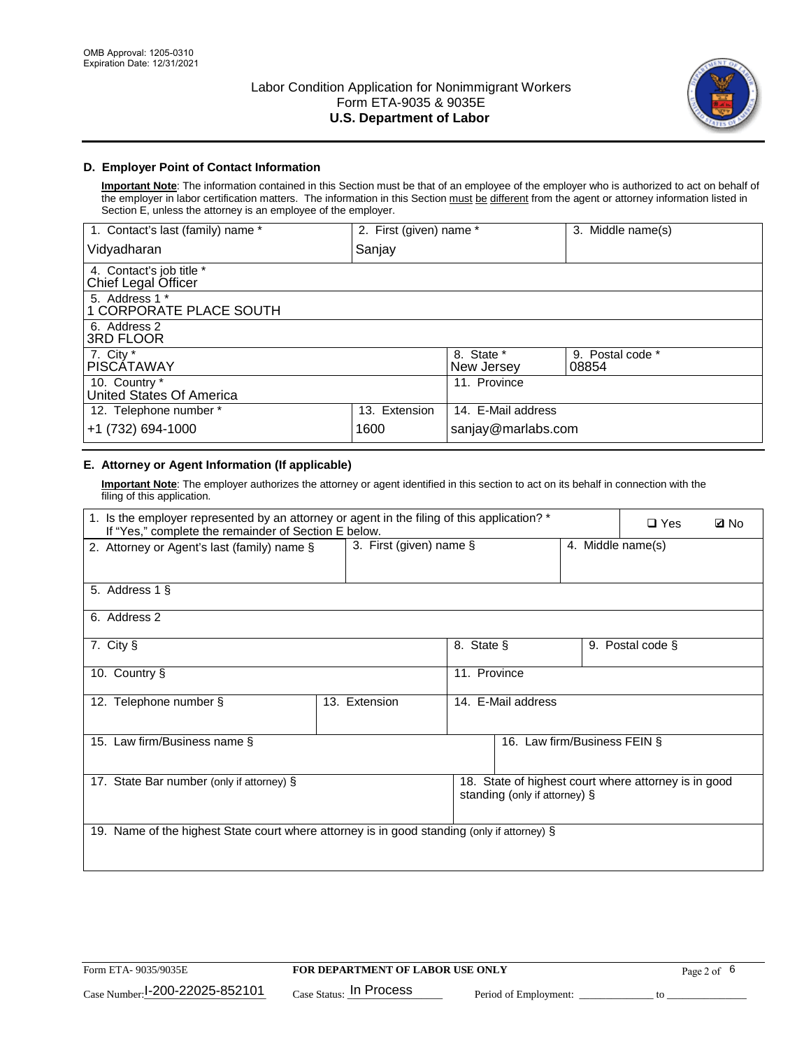

## **D. Employer Point of Contact Information**

**Important Note**: The information contained in this Section must be that of an employee of the employer who is authorized to act on behalf of the employer in labor certification matters. The information in this Section must be different from the agent or attorney information listed in Section E, unless the attorney is an employee of the employer.

| 1. Contact's last (family) name *               | 2. First (given) name * |                          | 3. Middle name(s)         |
|-------------------------------------------------|-------------------------|--------------------------|---------------------------|
| Vidyadharan                                     | Sanjay                  |                          |                           |
| 4. Contact's job title *<br>Chief Legal Officer |                         |                          |                           |
| 5. Address 1 *<br>1 CORPORATE PLACE SOUTH       |                         |                          |                           |
| 6. Address 2<br><b>3RD FLOOR</b>                |                         |                          |                           |
| 7. City *<br><b>PISCÁTAWAY</b>                  |                         | 8. State *<br>New Jersey | 9. Postal code *<br>08854 |
| 10. Country *<br>United States Of America       |                         | 11. Province             |                           |
| 12. Telephone number *                          | 13. Extension           | 14. E-Mail address       |                           |
| +1 (732) 694-1000                               | 1600                    | sanjay@marlabs.com       |                           |

## **E. Attorney or Agent Information (If applicable)**

**Important Note**: The employer authorizes the attorney or agent identified in this section to act on its behalf in connection with the filing of this application.

| 1. Is the employer represented by an attorney or agent in the filing of this application? *<br>If "Yes," complete the remainder of Section E below. |                            |              |                               | $\Box$ Yes        | <b>Ø</b> No                                          |  |
|-----------------------------------------------------------------------------------------------------------------------------------------------------|----------------------------|--------------|-------------------------------|-------------------|------------------------------------------------------|--|
| 2. Attorney or Agent's last (family) name §                                                                                                         | 3. First (given) name $\S$ |              |                               | 4. Middle name(s) |                                                      |  |
| 5. Address 1 §                                                                                                                                      |                            |              |                               |                   |                                                      |  |
| 6. Address 2                                                                                                                                        |                            |              |                               |                   |                                                      |  |
| 7. City §                                                                                                                                           |                            | 8. State §   |                               |                   | 9. Postal code §                                     |  |
| 10. Country §                                                                                                                                       |                            | 11. Province |                               |                   |                                                      |  |
| 12. Telephone number §                                                                                                                              | 13. Extension              |              | 14. E-Mail address            |                   |                                                      |  |
| 15. Law firm/Business name §                                                                                                                        |                            |              | 16. Law firm/Business FEIN §  |                   |                                                      |  |
| 17. State Bar number (only if attorney) §                                                                                                           |                            |              | standing (only if attorney) § |                   | 18. State of highest court where attorney is in good |  |
| 19. Name of the highest State court where attorney is in good standing (only if attorney) §                                                         |                            |              |                               |                   |                                                      |  |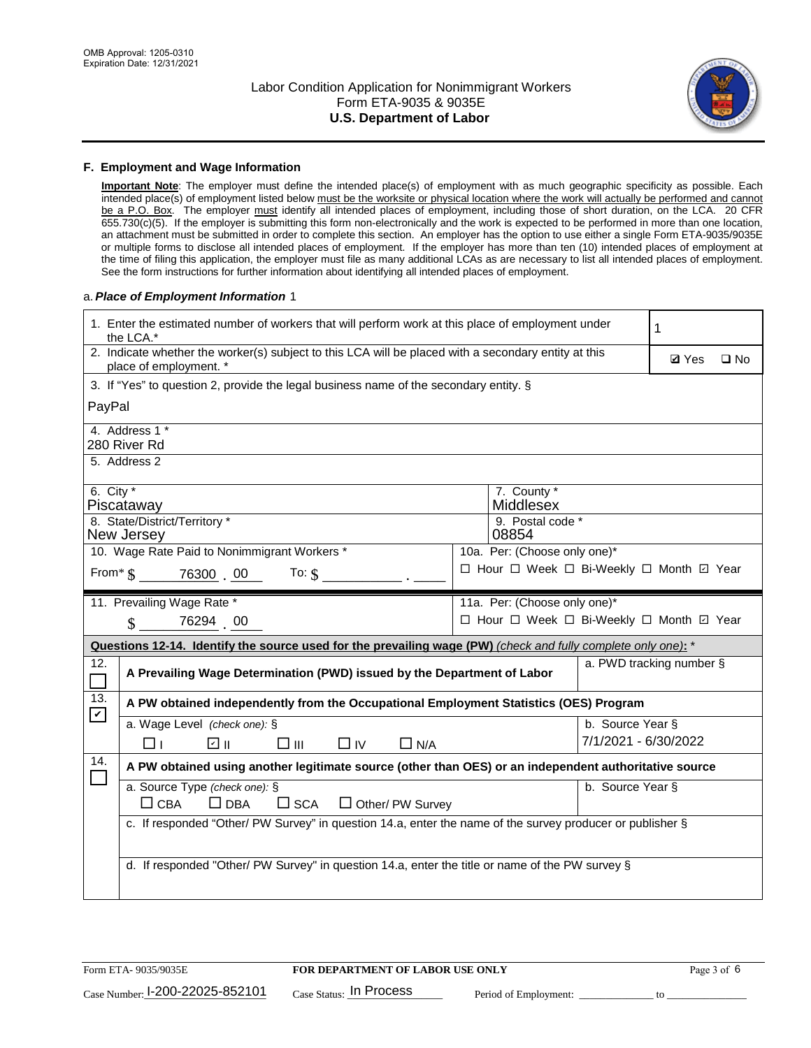

#### **F. Employment and Wage Information**

**Important Note**: The employer must define the intended place(s) of employment with as much geographic specificity as possible. Each intended place(s) of employment listed below must be the worksite or physical location where the work will actually be performed and cannot be a P.O. Box. The employer must identify all intended places of employment, including those of short duration, on the LCA. 20 CFR 655.730(c)(5). If the employer is submitting this form non-electronically and the work is expected to be performed in more than one location, an attachment must be submitted in order to complete this section. An employer has the option to use either a single Form ETA-9035/9035E or multiple forms to disclose all intended places of employment. If the employer has more than ten (10) intended places of employment at the time of filing this application, the employer must file as many additional LCAs as are necessary to list all intended places of employment. See the form instructions for further information about identifying all intended places of employment.

#### a.*Place of Employment Information* 1

| 1. Enter the estimated number of workers that will perform work at this place of employment under<br>the LCA.*                 |                                                                                                               |  |                                          |                      | 1                        |              |  |
|--------------------------------------------------------------------------------------------------------------------------------|---------------------------------------------------------------------------------------------------------------|--|------------------------------------------|----------------------|--------------------------|--------------|--|
| 2. Indicate whether the worker(s) subject to this LCA will be placed with a secondary entity at this<br>place of employment. * |                                                                                                               |  |                                          |                      |                          | $\square$ No |  |
|                                                                                                                                | 3. If "Yes" to question 2, provide the legal business name of the secondary entity. §                         |  |                                          |                      |                          |              |  |
| PayPal                                                                                                                         |                                                                                                               |  |                                          |                      |                          |              |  |
| 4. Address 1 *<br>280 River Rd                                                                                                 |                                                                                                               |  |                                          |                      |                          |              |  |
| 5. Address 2                                                                                                                   |                                                                                                               |  |                                          |                      |                          |              |  |
| 6. City $*$<br>Piscataway                                                                                                      |                                                                                                               |  | 7. County *<br>Middlesex                 |                      |                          |              |  |
| 8. State/District/Territory *<br>New Jersey                                                                                    |                                                                                                               |  | 9. Postal code *<br>08854                |                      |                          |              |  |
|                                                                                                                                | 10. Wage Rate Paid to Nonimmigrant Workers *                                                                  |  | 10a. Per: (Choose only one)*             |                      |                          |              |  |
|                                                                                                                                | □ Hour □ Week □ Bi-Weekly □ Month ☑ Year<br>From * \$ 76300 00<br>To: $$$                                     |  |                                          |                      |                          |              |  |
| 11. Prevailing Wage Rate *                                                                                                     |                                                                                                               |  | 11a. Per: (Choose only one)*             |                      |                          |              |  |
| $\sin 76294$ 00                                                                                                                |                                                                                                               |  | □ Hour □ Week □ Bi-Weekly □ Month ☑ Year |                      |                          |              |  |
|                                                                                                                                | Questions 12-14. Identify the source used for the prevailing wage (PW) (check and fully complete only one): * |  |                                          |                      |                          |              |  |
| 12.                                                                                                                            | A Prevailing Wage Determination (PWD) issued by the Department of Labor                                       |  |                                          |                      | a. PWD tracking number § |              |  |
| 13.<br>$\blacktriangledown$                                                                                                    | A PW obtained independently from the Occupational Employment Statistics (OES) Program                         |  |                                          |                      |                          |              |  |
| a. Wage Level (check one): §                                                                                                   |                                                                                                               |  |                                          | b. Source Year §     |                          |              |  |
| ⊓⊥                                                                                                                             | ☑ ⊪<br>□⊪<br>$\Box$ IV<br>$\Box$ N/A                                                                          |  |                                          | 7/1/2021 - 6/30/2022 |                          |              |  |
| 14.                                                                                                                            | A PW obtained using another legitimate source (other than OES) or an independent authoritative source         |  |                                          |                      |                          |              |  |
| a. Source Type (check one): §                                                                                                  |                                                                                                               |  |                                          | b. Source Year §     |                          |              |  |
| $\Box$ CBA                                                                                                                     | $\Box$ DBA<br>$\square$ SCA<br>$\Box$ Other/ PW Survey                                                        |  |                                          |                      |                          |              |  |
|                                                                                                                                | c. If responded "Other/ PW Survey" in question 14.a, enter the name of the survey producer or publisher §     |  |                                          |                      |                          |              |  |
|                                                                                                                                |                                                                                                               |  |                                          |                      |                          |              |  |
|                                                                                                                                | d. If responded "Other/ PW Survey" in question 14.a, enter the title or name of the PW survey §               |  |                                          |                      |                          |              |  |
|                                                                                                                                |                                                                                                               |  |                                          |                      |                          |              |  |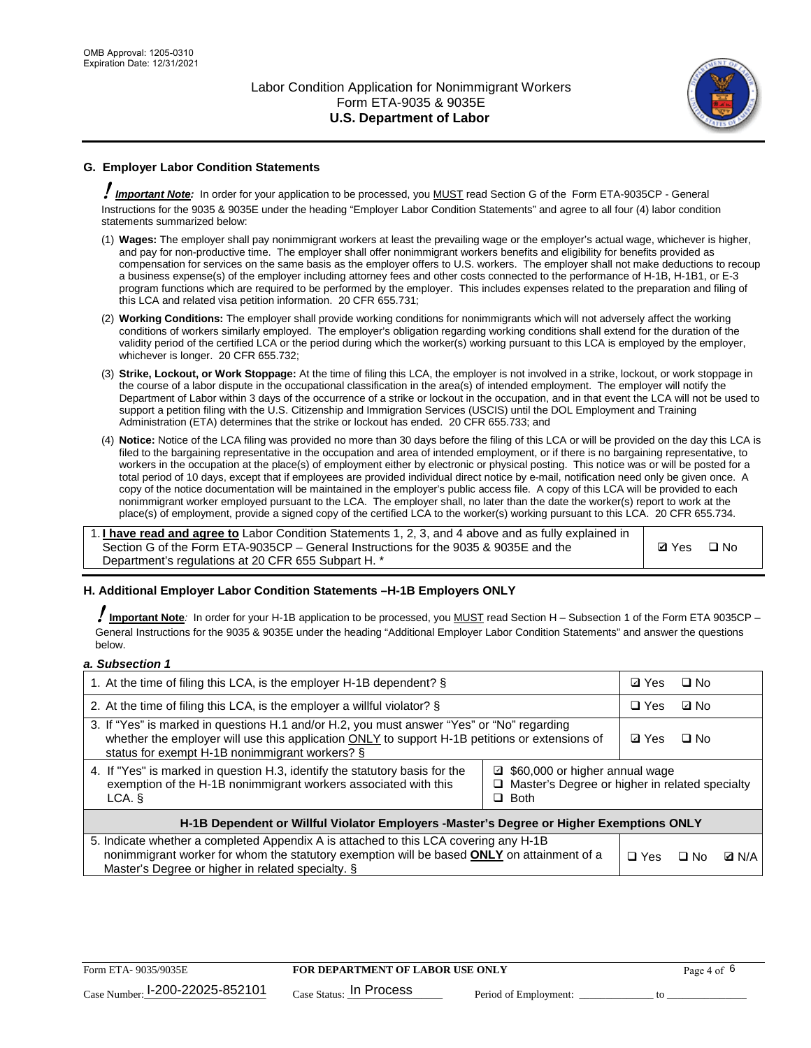

## **G. Employer Labor Condition Statements**

! *Important Note:* In order for your application to be processed, you MUST read Section G of the Form ETA-9035CP - General Instructions for the 9035 & 9035E under the heading "Employer Labor Condition Statements" and agree to all four (4) labor condition statements summarized below:

- (1) **Wages:** The employer shall pay nonimmigrant workers at least the prevailing wage or the employer's actual wage, whichever is higher, and pay for non-productive time. The employer shall offer nonimmigrant workers benefits and eligibility for benefits provided as compensation for services on the same basis as the employer offers to U.S. workers. The employer shall not make deductions to recoup a business expense(s) of the employer including attorney fees and other costs connected to the performance of H-1B, H-1B1, or E-3 program functions which are required to be performed by the employer. This includes expenses related to the preparation and filing of this LCA and related visa petition information. 20 CFR 655.731;
- (2) **Working Conditions:** The employer shall provide working conditions for nonimmigrants which will not adversely affect the working conditions of workers similarly employed. The employer's obligation regarding working conditions shall extend for the duration of the validity period of the certified LCA or the period during which the worker(s) working pursuant to this LCA is employed by the employer, whichever is longer. 20 CFR 655.732;
- (3) **Strike, Lockout, or Work Stoppage:** At the time of filing this LCA, the employer is not involved in a strike, lockout, or work stoppage in the course of a labor dispute in the occupational classification in the area(s) of intended employment. The employer will notify the Department of Labor within 3 days of the occurrence of a strike or lockout in the occupation, and in that event the LCA will not be used to support a petition filing with the U.S. Citizenship and Immigration Services (USCIS) until the DOL Employment and Training Administration (ETA) determines that the strike or lockout has ended. 20 CFR 655.733; and
- (4) **Notice:** Notice of the LCA filing was provided no more than 30 days before the filing of this LCA or will be provided on the day this LCA is filed to the bargaining representative in the occupation and area of intended employment, or if there is no bargaining representative, to workers in the occupation at the place(s) of employment either by electronic or physical posting. This notice was or will be posted for a total period of 10 days, except that if employees are provided individual direct notice by e-mail, notification need only be given once. A copy of the notice documentation will be maintained in the employer's public access file. A copy of this LCA will be provided to each nonimmigrant worker employed pursuant to the LCA. The employer shall, no later than the date the worker(s) report to work at the place(s) of employment, provide a signed copy of the certified LCA to the worker(s) working pursuant to this LCA. 20 CFR 655.734.

1. **I have read and agree to** Labor Condition Statements 1, 2, 3, and 4 above and as fully explained in Section G of the Form ETA-9035CP – General Instructions for the 9035 & 9035E and the Department's regulations at 20 CFR 655 Subpart H. \*

**Ø**Yes ロNo

#### **H. Additional Employer Labor Condition Statements –H-1B Employers ONLY**

!**Important Note***:* In order for your H-1B application to be processed, you MUST read Section H – Subsection 1 of the Form ETA 9035CP – General Instructions for the 9035 & 9035E under the heading "Additional Employer Labor Condition Statements" and answer the questions below.

#### *a. Subsection 1*

| 1. At the time of filing this LCA, is the employer H-1B dependent? §                                                                                                                                                                                            |  |  | $\square$ No |              |
|-----------------------------------------------------------------------------------------------------------------------------------------------------------------------------------------------------------------------------------------------------------------|--|--|--------------|--------------|
| 2. At the time of filing this LCA, is the employer a willful violator? $\S$                                                                                                                                                                                     |  |  | ⊡ No         |              |
| 3. If "Yes" is marked in questions H.1 and/or H.2, you must answer "Yes" or "No" regarding<br>whether the employer will use this application ONLY to support H-1B petitions or extensions of<br>status for exempt H-1B nonimmigrant workers? §                  |  |  | $\Box$ No    |              |
| 4. If "Yes" is marked in question H.3, identify the statutory basis for the<br>■ \$60,000 or higher annual wage<br>exemption of the H-1B nonimmigrant workers associated with this<br>□ Master's Degree or higher in related specialty<br>$\Box$ Both<br>LCA. § |  |  |              |              |
| H-1B Dependent or Willful Violator Employers -Master's Degree or Higher Exemptions ONLY                                                                                                                                                                         |  |  |              |              |
| 5. Indicate whether a completed Appendix A is attached to this LCA covering any H-1B<br>nonimmigrant worker for whom the statutory exemption will be based <b>ONLY</b> on attainment of a<br>Master's Degree or higher in related specialty. §                  |  |  | ⊡ No         | <b>Q</b> N/A |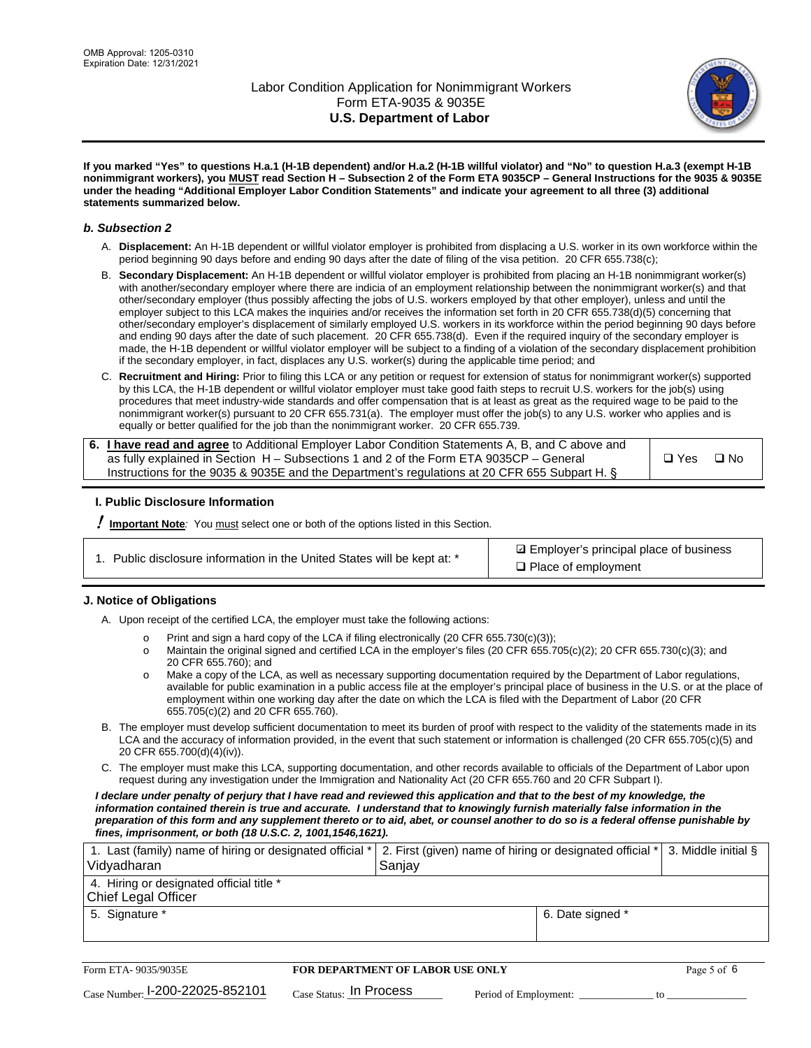

**If you marked "Yes" to questions H.a.1 (H-1B dependent) and/or H.a.2 (H-1B willful violator) and "No" to question H.a.3 (exempt H-1B nonimmigrant workers), you MUST read Section H – Subsection 2 of the Form ETA 9035CP – General Instructions for the 9035 & 9035E under the heading "Additional Employer Labor Condition Statements" and indicate your agreement to all three (3) additional statements summarized below.**

#### *b. Subsection 2*

- A. **Displacement:** An H-1B dependent or willful violator employer is prohibited from displacing a U.S. worker in its own workforce within the period beginning 90 days before and ending 90 days after the date of filing of the visa petition. 20 CFR 655.738(c);
- B. **Secondary Displacement:** An H-1B dependent or willful violator employer is prohibited from placing an H-1B nonimmigrant worker(s) with another/secondary employer where there are indicia of an employment relationship between the nonimmigrant worker(s) and that other/secondary employer (thus possibly affecting the jobs of U.S. workers employed by that other employer), unless and until the employer subject to this LCA makes the inquiries and/or receives the information set forth in 20 CFR 655.738(d)(5) concerning that other/secondary employer's displacement of similarly employed U.S. workers in its workforce within the period beginning 90 days before and ending 90 days after the date of such placement. 20 CFR 655.738(d). Even if the required inquiry of the secondary employer is made, the H-1B dependent or willful violator employer will be subject to a finding of a violation of the secondary displacement prohibition if the secondary employer, in fact, displaces any U.S. worker(s) during the applicable time period; and
- C. **Recruitment and Hiring:** Prior to filing this LCA or any petition or request for extension of status for nonimmigrant worker(s) supported by this LCA, the H-1B dependent or willful violator employer must take good faith steps to recruit U.S. workers for the job(s) using procedures that meet industry-wide standards and offer compensation that is at least as great as the required wage to be paid to the nonimmigrant worker(s) pursuant to 20 CFR 655.731(a). The employer must offer the job(s) to any U.S. worker who applies and is equally or better qualified for the job than the nonimmigrant worker. 20 CFR 655.739.

| 6. I have read and agree to Additional Employer Labor Condition Statements A, B, and C above and |       |           |
|--------------------------------------------------------------------------------------------------|-------|-----------|
| as fully explained in Section H – Subsections 1 and 2 of the Form ETA 9035CP – General           | □ Yes | $\Box$ No |
| Instructions for the 9035 & 9035E and the Department's regulations at 20 CFR 655 Subpart H. §    |       |           |

#### **I. Public Disclosure Information**

! **Important Note***:* You must select one or both of the options listed in this Section.

**sqrt** Employer's principal place of business □ Place of employment

#### **J. Notice of Obligations**

A. Upon receipt of the certified LCA, the employer must take the following actions:

- o Print and sign a hard copy of the LCA if filing electronically (20 CFR 655.730(c)(3));<br>
Maintain the original signed and certified LCA in the employer's files (20 CFR 655.7
- Maintain the original signed and certified LCA in the employer's files (20 CFR 655.705(c)(2); 20 CFR 655.730(c)(3); and 20 CFR 655.760); and
- o Make a copy of the LCA, as well as necessary supporting documentation required by the Department of Labor regulations, available for public examination in a public access file at the employer's principal place of business in the U.S. or at the place of employment within one working day after the date on which the LCA is filed with the Department of Labor (20 CFR 655.705(c)(2) and 20 CFR 655.760).
- B. The employer must develop sufficient documentation to meet its burden of proof with respect to the validity of the statements made in its LCA and the accuracy of information provided, in the event that such statement or information is challenged (20 CFR 655.705(c)(5) and 20 CFR 655.700(d)(4)(iv)).
- C. The employer must make this LCA, supporting documentation, and other records available to officials of the Department of Labor upon request during any investigation under the Immigration and Nationality Act (20 CFR 655.760 and 20 CFR Subpart I).

*I declare under penalty of perjury that I have read and reviewed this application and that to the best of my knowledge, the*  information contained therein is true and accurate. I understand that to knowingly furnish materially false information in the *preparation of this form and any supplement thereto or to aid, abet, or counsel another to do so is a federal offense punishable by fines, imprisonment, or both (18 U.S.C. 2, 1001,1546,1621).*

| 1. Last (family) name of hiring or designated official *   2. First (given) name of hiring or designated official *   3. Middle initial §<br>Vidyadharan | Saniav           |  |
|----------------------------------------------------------------------------------------------------------------------------------------------------------|------------------|--|
| 4. Hiring or designated official title *<br>Chief Legal Officer                                                                                          |                  |  |
| 5. Signature *                                                                                                                                           | 6. Date signed * |  |

| Form ETA-9035/9035E             | <b>FOR DEPARTMENT OF LABOR USE ONLY</b> |                       |  |
|---------------------------------|-----------------------------------------|-----------------------|--|
| Case Number: 1-200-22025-852101 | $_{\rm Case~S status:}$ In Process      | Period of Employment: |  |